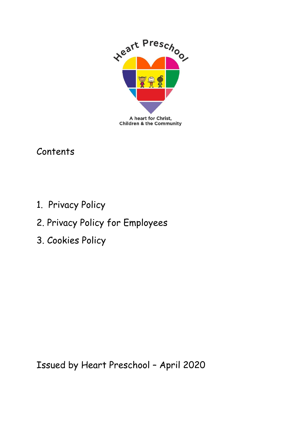

Contents

- 1. Privacy Policy
- 2. Privacy Policy for Employees
- 3. Cookies Policy

Issued by Heart Preschool – April 2020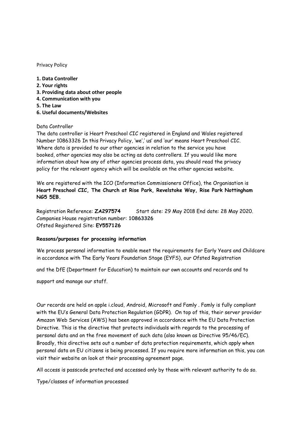#### Privacy Policy

- **1. Data Controller**
- **2. Your rights**
- **3. Providing data about other people**
- **4. Communication with you**
- **5. The Law**
- **6. Useful documents/Websites**

#### Data Controller

The data controller is Heart Preschool CIC registered in England and Wales registered Number 10863326 In this Privacy Policy, 'we',' us' and 'our' means Heart Preschool CIC. Where data is provided to our other agencies in relation to the service you have booked, other agencies may also be acting as data controllers. If you would like more information about how any of other agencies process data, you should read the privacy policy for the relevant agency which will be available on the other agencies website.

We are registered with the ICO (Information Commissioners Office), the Organisation is **Heart Preschool CIC, The Church at Rise Park, Revelstoke Way, Rise Park Nottingham NG5 5EB.**

Registration Reference: **ZA297574** Start date: 29 May 2018 End date: 28 May 2020. Companies House registration number: **10863326**  Ofsted Registered Site: **EY557126**

#### **Reasons/purposes for processing information**

We process personal information to enable meet the requirements for Early Years and Childcare in accordance with The Early Years Foundation Stage (EYFS), our Ofsted Registration

and the DfE (Department for Education) to maintain our own accounts and records and to

support and manage our staff.

Our records are held on apple i.cloud, Android, Microsoft and Famly . Famly is fully compliant with the EU's General Data Protection Regulation (GDPR). On top of this, their server provider Amazon Web Services (AWS) has been approved in accordance with the EU Data Protection Directive. This is the directive that protects individuals with regards to the processing of personal data and on the free movement of such data (also known as Directive 95/46/EC). Broadly, this directive sets out a number of data protection requirements, which apply when personal data on EU citizens is being processed. If you require more information on this, you can visit their website an look at their processing agreement page.

All access is passcode protected and accessed only by those with relevant authority to do so.

Type/classes of information processed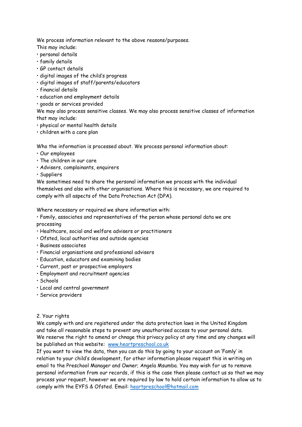We process information relevant to the above reasons/purposes.

This may include:

- personal details
- family details
- GP contact details
- digital images of the child's progress
- digital images of staff/parents/educators
- financial details
- education and employment details
- goods or services provided

We may also process sensitive classes. We may also process sensitive classes of information that may include:

- physical or mental health details
- children with a care plan

Who the information is processed about. We process personal information about:

- Our employees
- The children in our care
- Advisers, complainants, enquirers
- Suppliers

We sometimes need to share the personal information we process with the individual themselves and also with other organisations. Where this is necessary, we are required to comply with all aspects of the Data Protection Act (DPA).

Where necessary or required we share information with:

• Family, associates and representatives of the person whose personal data we are processing

- Healthcare, social and welfare advisers or practitioners
- Ofsted, local authorities and outside agencies
- Business associates
- Financial organisations and professional advisers
- Education, educators and examining bodies
- Current, past or prospective employers
- Employment and recruitment agencies
- Schools
- Local and central government
- Service providers

# 2. Your rights

We comply with and are registered under the data protection laws in the United Kingdom and take all reasonable steps to prevent any unauthorised access to your personal data. We reserve the right to amend or chnage this privacy policy at any time and any changes will be published on this website: [www.heartpreschool.co.uk](http://www.heartpreschool.co.uk/)

If you want to view the data, then you can do this by going to your account on 'Famly' in relation to your child's development, for other information please request this in writing on email to the Preschool Manager and Owner; Angela Msumba. You may wish for us to remove personal information from our records, if this is the case then please contact us so that we may process your request, however we are required by law to hold certain information to allow us to comply with the EYFS & Ofsted. Email: [heartpreschool@hotmail.com](mailto:heartpreschool@hotmail.com)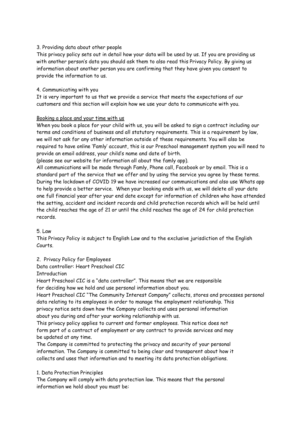# 3. Providing data about other people

This privacy policy sets out in detail how your data will be used by us. If you are providing us with another person's data you should ask them to also read this Privacy Policy. By giving us information about another person you are confirming that they have given you consent to provide the information to us.

# 4. Communicating with you

It is very important to us that we provide a service that meets the expectations of our customers and this section will explain how we use your data to communicate with you.

# Booking a place and your time with us

When you book a place for your child with us, you will be asked to sign a contract including our terms and conditions of business and all statutory requirements. This is a requirement by law, we will not ask for any other information outside of these requirements. You will also be required to have online 'Famly' account, this is our Preschool management system you will need to provide an email address, your child's name and date of birth.

(please see our website for information all about the famly app).

All communications will be made through Famly, Phone call, Facebook or by email. This is a standard part of the service that we offer and by using the service you agree by these terms. During the lockdown of COVID 19 we have increased our communications and also use Whats app to help provide a better service. When your booking ends with us, we will delete all your data one full financial year after your end date except for information of children who have attended the setting, accident and incident records and child protection records which will be held until the child reaches the age of 21 or until the child reaches the age of 24 for child protection records.

5. Law

This Privacy Policy is subject to English Law and to the exclusive jurisdiction of the English Courts.

2. Privacy Policy for Employees

Data controller: Heart Preschool CIC

**Introduction** 

Heart Preschool CIC is a "data controller". This means that we are responsible for deciding how we hold and use personal information about you.

Heart Preschool CIC "The Community Interest Company" collects, stores and processes personal data relating to its employees in order to manage the employment relationship. This privacy notice sets down how the Company collects and uses personal information about you during and after your working relationship with us.

This privacy policy applies to current and former employees. This notice does not form part of a contract of employment or any contract to provide services and may be updated at any time.

The Company is committed to protecting the privacy and security of your personal information. The Company is committed to being clear and transparent about how it collects and uses that information and to meeting its data protection obligations.

1. Data Protection Principles

The Company will comply with data protection law. This means that the personal information we hold about you must be: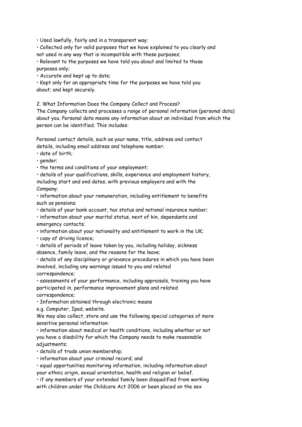• Used lawfully, fairly and in a transparent way;

• Collected only for valid purposes that we have explained to you clearly and not used in any way that is incompatible with these purposes;

• Relevant to the purposes we have told you about and limited to those purposes only;

• Accurate and kept up to date;

• Kept only for an appropriate time for the purposes we have told you about; and kept securely.

2. What Information Does the Company Collect and Process?

The Company collects and processes a range of personal information (personal data) about you. Personal data means any information about an individual from which the person can be identified. This includes:

Personal contact details, such as your name, title, address and contact details, including email address and telephone number;

• date of birth;

• gender;

• the terms and conditions of your employment;

• details of your qualifications, skills, experience and employment history, including start and end dates, with previous employers and with the Company;

• information about your remuneration, including entitlement to benefits such as pensions;

• details of your bank account, tax status and national insurance number;

• information about your marital status, next of kin, dependants and emergency contacts;

• information about your nationality and entitlement to work in the UK;

• copy of driving licence;

• details of periods of leave taken by you, including holiday, sickness absence, family leave, and the reasons for the leave;

• details of any disciplinary or grievance procedures in which you have been involved, including any warnings issued to you and related correspondence;

• assessments of your performance, including appraisals, training you have participated in, performance improvement plans and related correspondence;

• Information obtained through electronic means

e.g. Computer, Ipad, website.

We may also collect, store and use the following special categories of more sensitive personal information:

• information about medical or health conditions, including whether or not you have a disability for which the Company needs to make reasonable adjustments;

• details of trade union membership;

• information about your criminal record; and

• equal opportunities monitoring information, including information about your ethnic origin, sexual orientation, health and religion or belief.

• if any members of your extended family been disqualified from working with children under the Childcare Act 2006 or been placed on the sex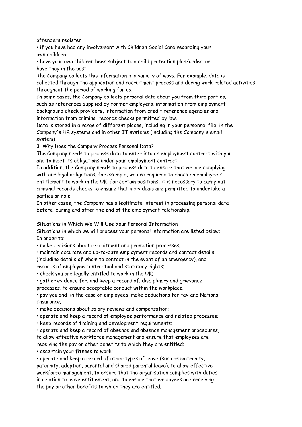offenders register

• if you have had any involvement with Children Social Care regarding your own children

• have your own children been subject to a child protection plan/order, or have they in the past

The Company collects this information in a variety of ways. For example, data is collected through the application and recruitment process and during work related activities throughout the period of working for us.

In some cases, the Company collects personal data about you from third parties, such as references supplied by former employers, information from employment background check providers, information from credit reference agencies and information from criminal records checks permitted by law.

Data is stored in a range of different places, including in your personnel file, in the Company's HR systems and in other IT systems (including the Company's email system).

3. Why Does the Company Process Personal Data?

The Company needs to process data to enter into an employment contract with you and to meet its obligations under your employment contract.

In addition, the Company needs to process data to ensure that we are complying with our legal obligations, for example, we are required to check an employee's entitlement to work in the UK, for certain positions, it is necessary to carry out criminal records checks to ensure that individuals are permitted to undertake a particular role.

In other cases, the Company has a legitimate interest in processing personal data before, during and after the end of the employment relationship.

Situations in Which We Will Use Your Personal Information

Situations in which we will process your personal information are listed below: In order to:

• make decisions about recruitment and promotion processes;

• maintain accurate and up-to-date employment records and contact details (including details of whom to contact in the event of an emergency), and

records of employee contractual and statutory rights;

• check you are legally entitled to work in the UK;

• gather evidence for, and keep a record of, disciplinary and grievance

processes, to ensure acceptable conduct within the workplace;

• pay you and, in the case of employees, make deductions for tax and National Insurance;

• make decisions about salary reviews and compensation;

• operate and keep a record of employee performance and related processes;

• keep records of training and development requirements;

• operate and keep a record of absence and absence management procedures, to allow effective workforce management and ensure that employees are receiving the pay or other benefits to which they are entitled;

• ascertain your fitness to work;

• operate and keep a record of other types of leave (such as maternity, paternity, adoption, parental and shared parental leave), to allow effective workforce management, to ensure that the organisation complies with duties in relation to leave entitlement, and to ensure that employees are receiving the pay or other benefits to which they are entitled;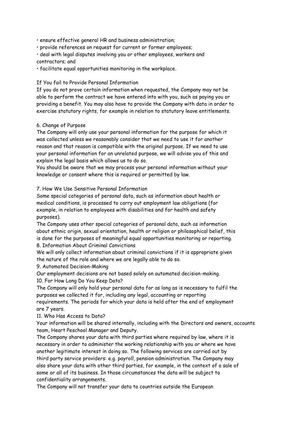• ensure effective general HR and business administration;

• provide references on request for current or former employees;

• deal with legal disputes involving you or other employees, workers and contractors; and

• facilitate equal opportunities monitoring in the workplace.

### If You fail to Provide Personal Information

If you do not prove certain information when requested, the Company may not be able to perform the contract we have entered into with you, such as paying you or providing a benefit. You may also have to provide the Company with data in order to exercise statutory rights, for example in relation to statutory leave entitlements.

# 6. Change of Purpose

The Company will only use your personal information for the purpose for which it was collected unless we reasonably consider that we need to use it for another reason and that reason is compatible with the original purpose. If we need to use your personal information for an unrelated purpose, we will advise you of this and explain the legal basis which allows us to do so.

You should be aware that we may process your personal information without your knowledge or consent where this is required or permitted by law.

### 7. How We Use Sensitive Personal Information

Some special categories of personal data, such as information about health or medical conditions, is processed to carry out employment law obligations (for example, in relation to employees with disabilities and for health and safety purposes).

The Company uses other special categories of personal data, such as information about ethnic origin, sexual orientation, health or religion or philosophical belief, this is done for the purposes of meaningful equal opportunities monitoring or reporting.

#### 8. Information About Criminal Convictions

We will only collect information about criminal convictions if it is appropriate given the nature of the role and where we are legally able to do so.

#### 9. Automated Decision-Making

Our employment decisions are not based solely on automated decision-making.

#### 10. For How Long Do You Keep Data?

The Company will only hold your personal data for as long as is necessary to fulfil the purposes we collected it for, including any legal, accounting or reporting requirements. The periods for which your data is held after the end of employment are 7 years.

# 11. Who Has Access to Data?

Your information will be shared internally, including with the Directors and owners, accounts team, Heart Peschool Manager and Deputy.

The Company shares your data with third parties where required by law, where it is necessary in order to administer the working relationship with you or where we have another legitimate interest in doing so. The following services are carried out by third party service providers: e.g. payroll, pension administration. The Company may also share your data with other third parties, for example, in the context of a sale of some or all of its business. In those circumstances the data will be subject to confidentiality arrangements.

The Company will not transfer your data to countries outside the European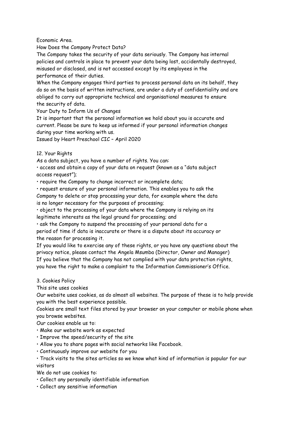Economic Area.

How Does the Company Protect Data?

The Company takes the security of your data seriously. The Company has internal policies and controls in place to prevent your data being lost, accidentally destroyed, misused or disclosed, and is not accessed except by its employees in the performance of their duties.

When the Company engages third parties to process personal data on its behalf, they do so on the basis of written instructions, are under a duty of confidentiality and are obliged to carry out appropriate technical and organisational measures to ensure the security of data.

Your Duty to Inform Us of Changes

It is important that the personal information we hold about you is accurate and current. Please be sure to keep us informed if your personal information changes during your time working with us.

Issued by Heart Preschool CIC – April 2020

### 12. Your Rights

As a data subject, you have a number of rights. You can:

• access and obtain a copy of your data on request (known as a "data subject access request");

• require the Company to change incorrect or incomplete data;

• request erasure of your personal information. This enables you to ask the Company to delete or stop processing your data, for example where the data is no longer necessary for the purposes of processing;

• object to the processing of your data where the Company is relying on its legitimate interests as the legal ground for processing; and

• ask the Company to suspend the processing of your personal data for a period of time if data is inaccurate or there is a dispute about its accuracy or the reason for processing it.

If you would like to exercise any of these rights, or you have any questions about the privacy notice, please contact the Angela Msumba (Director, Owner and Manager) If you believe that the Company has not complied with your data protection rights, you have the right to make a complaint to the Information Commissioner's Office.

#### 3. Cookies Policy

This site uses cookies

Our website uses cookies, as do almost all websites. The purpose of these is to help provide you with the best experience possible.

Cookies are small text files stored by your browser on your computer or mobile phone when you browse websites.

Our cookies enable us to:

- Make our website work as expected
- Improve the speed/security of the site
- Allow you to share pages with social networks like Facebook.
- Continuously improve our website for you
- Track visits to the sites articles so we know what kind of information is popular for our visitors

We do not use cookies to:

- Collect any personally identifiable information
- Collect any sensitive information